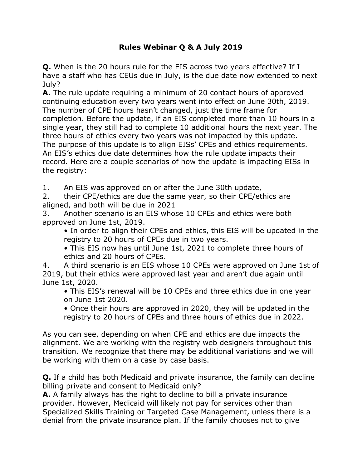## **Rules Webinar Q & A July 2019**

**Q.** When is the 20 hours rule for the EIS across two years effective? If I have a staff who has CEUs due in July, is the due date now extended to next July?

**A.** The rule update requiring a minimum of 20 contact hours of approved continuing education every two years went into effect on June 30th, 2019. The number of CPE hours hasn't changed, just the time frame for completion. Before the update, if an EIS completed more than 10 hours in a single year, they still had to complete 10 additional hours the next year. The three hours of ethics every two years was not impacted by this update. The purpose of this update is to align EISs' CPEs and ethics requirements. An EIS's ethics due date determines how the rule update impacts their record. Here are a couple scenarios of how the update is impacting EISs in the registry:

1. An EIS was approved on or after the June 30th update,

2. their CPE/ethics are due the same year, so their CPE/ethics are aligned, and both will be due in 2021

3. Another scenario is an EIS whose 10 CPEs and ethics were both approved on June 1st, 2019.

• In order to align their CPEs and ethics, this EIS will be updated in the registry to 20 hours of CPEs due in two years.

• This EIS now has until June 1st, 2021 to complete three hours of ethics and 20 hours of CPEs.

4. A third scenario is an EIS whose 10 CPEs were approved on June 1st of 2019, but their ethics were approved last year and aren't due again until June 1st, 2020.

• This EIS's renewal will be 10 CPEs and three ethics due in one year on June 1st 2020.

• Once their hours are approved in 2020, they will be updated in the registry to 20 hours of CPEs and three hours of ethics due in 2022.

As you can see, depending on when CPE and ethics are due impacts the alignment. We are working with the registry web designers throughout this transition. We recognize that there may be additional variations and we will be working with them on a case by case basis.

**Q.** If a child has both Medicaid and private insurance, the family can decline billing private and consent to Medicaid only?

**A.** A family always has the right to decline to bill a private insurance provider. However, Medicaid will likely not pay for services other than Specialized Skills Training or Targeted Case Management, unless there is a denial from the private insurance plan. If the family chooses not to give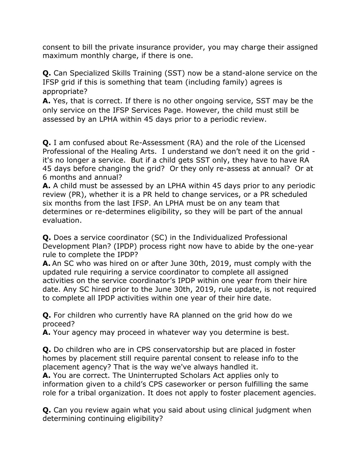consent to bill the private insurance provider, you may charge their assigned maximum monthly charge, if there is one.

**Q.** Can Specialized Skills Training (SST) now be a stand-alone service on the IFSP grid if this is something that team (including family) agrees is appropriate?

**A.** Yes, that is correct. If there is no other ongoing service, SST may be the only service on the IFSP Services Page. However, the child must still be assessed by an LPHA within 45 days prior to a periodic review.

**Q.** I am confused about Re-Assessment (RA) and the role of the Licensed Professional of the Healing Arts. I understand we don't need it on the grid it's no longer a service. But if a child gets SST only, they have to have RA 45 days before changing the grid? Or they only re-assess at annual? Or at 6 months and annual?

**A.** A child must be assessed by an LPHA within 45 days prior to any periodic review (PR), whether it is a PR held to change services, or a PR scheduled six months from the last IFSP. An LPHA must be on any team that determines or re-determines eligibility, so they will be part of the annual evaluation.

**Q.** Does a service coordinator (SC) in the Individualized Professional Development Plan? (IPDP) process right now have to abide by the one-year rule to complete the IPDP?

**A.** An SC who was hired on or after June 30th, 2019, must comply with the updated rule requiring a service coordinator to complete all assigned activities on the service coordinator's IPDP within one year from their hire date. Any SC hired prior to the June 30th, 2019, rule update, is not required to complete all IPDP activities within one year of their hire date.

**Q.** For children who currently have RA planned on the grid how do we proceed?

**A.** Your agency may proceed in whatever way you determine is best.

**Q.** Do children who are in CPS conservatorship but are placed in foster homes by placement still require parental consent to release info to the placement agency? That is the way we've always handled it.

**A.** You are correct. The Uninterrupted Scholars Act applies only to information given to a child's CPS caseworker or person fulfilling the same role for a tribal organization. It does not apply to foster placement agencies.

**Q.** Can you review again what you said about using clinical judgment when determining continuing eligibility?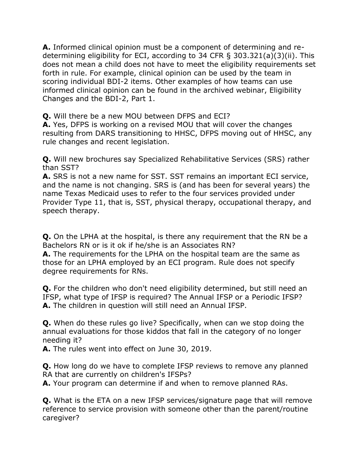**A.** Informed clinical opinion must be a component of determining and redetermining eligibility for ECI, according to 34 CFR § 303.321(a)(3)(ii). This does not mean a child does not have to meet the eligibility requirements set forth in rule. For example, clinical opinion can be used by the team in scoring individual BDI-2 items. Other examples of how teams can use informed clinical opinion can be found in the archived webinar, Eligibility Changes and the BDI-2, Part 1.

**Q.** Will there be a new MOU between DFPS and ECI?

**A.** Yes, DFPS is working on a revised MOU that will cover the changes resulting from DARS transitioning to HHSC, DFPS moving out of HHSC, any rule changes and recent legislation.

**Q.** Will new brochures say Specialized Rehabilitative Services (SRS) rather than SST?

**A.** SRS is not a new name for SST. SST remains an important ECI service, and the name is not changing. SRS is (and has been for several years) the name Texas Medicaid uses to refer to the four services provided under Provider Type 11, that is, SST, physical therapy, occupational therapy, and speech therapy.

**Q.** On the LPHA at the hospital, is there any requirement that the RN be a Bachelors RN or is it ok if he/she is an Associates RN?

**A.** The requirements for the LPHA on the hospital team are the same as those for an LPHA employed by an ECI program. Rule does not specify degree requirements for RNs.

**Q.** For the children who don't need eligibility determined, but still need an IFSP, what type of IFSP is required? The Annual IFSP or a Periodic IFSP? **A.** The children in question will still need an Annual IFSP.

**Q.** When do these rules go live? Specifically, when can we stop doing the annual evaluations for those kiddos that fall in the category of no longer needing it?

**A.** The rules went into effect on June 30, 2019.

**Q.** How long do we have to complete IFSP reviews to remove any planned RA that are currently on children's IFSPs?

**A.** Your program can determine if and when to remove planned RAs.

**Q.** What is the ETA on a new IFSP services/signature page that will remove reference to service provision with someone other than the parent/routine caregiver?